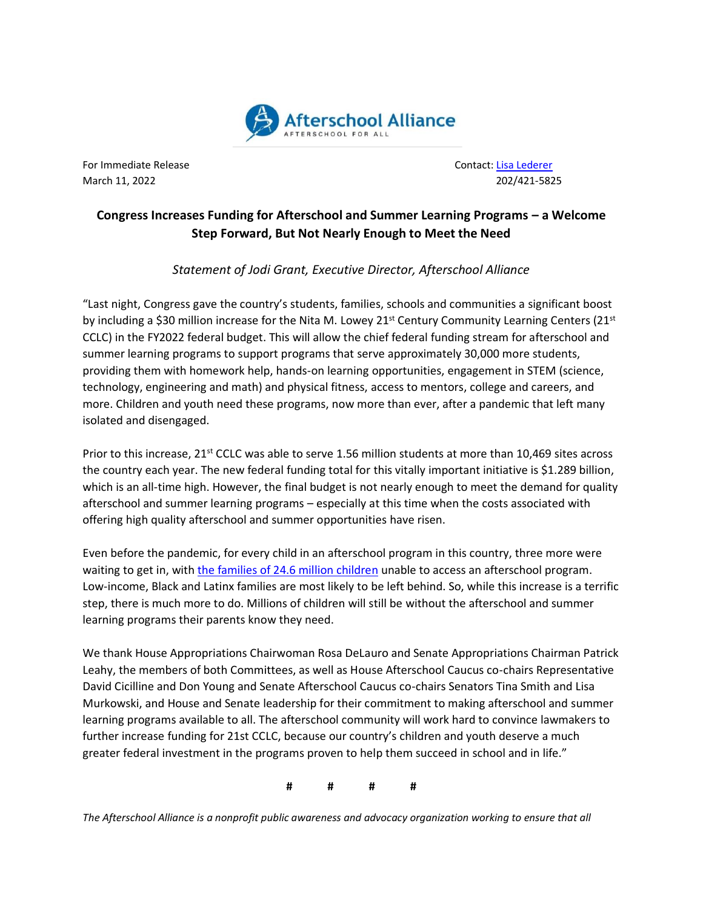

For Immediate Release Contact[: Lisa Lederer](mailto:lisa@prsolutionsdc.com) March 11, 2022 202/421-5825

## **Congress Increases Funding for Afterschool and Summer Learning Programs – a Welcome Step Forward, But Not Nearly Enough to Meet the Need**

## *Statement of Jodi Grant, Executive Director, Afterschool Alliance*

"Last night, Congress gave the country's students, families, schools and communities a significant boost by including a \$30 million increase for the Nita M. Lowey 21<sup>st</sup> Century Community Learning Centers (21<sup>st</sup> CCLC) in the FY2022 federal budget. This will allow the chief federal funding stream for afterschool and summer learning programs to support programs that serve approximately 30,000 more students, providing them with homework help, hands-on learning opportunities, engagement in STEM (science, technology, engineering and math) and physical fitness, access to mentors, college and careers, and more. Children and youth need these programs, now more than ever, after a pandemic that left many isolated and disengaged.

Prior to this increase, 21<sup>st</sup> CCLC was able to serve 1.56 million students at more than 10,469 sites across the country each year. The new federal funding total for this vitally important initiative is \$1.289 billion, which is an all-time high. However, the final budget is not nearly enough to meet the demand for quality afterschool and summer learning programs – especially at this time when the costs associated with offering high quality afterschool and summer opportunities have risen.

Even before the pandemic, for every child in an afterschool program in this country, three more were waiting to get in, with the families [of 24.6 million children](http://www.afterschoolalliance.org/AA3PM/) unable to access an afterschool program. Low-income, Black and Latinx families are most likely to be left behind. So, while this increase is a terrific step, there is much more to do. Millions of children will still be without the afterschool and summer learning programs their parents know they need.

We thank House Appropriations Chairwoman Rosa DeLauro and Senate Appropriations Chairman Patrick Leahy, the members of both Committees, as well as House Afterschool Caucus co-chairs Representative David Cicilline and Don Young and Senate Afterschool Caucus co-chairs Senators Tina Smith and Lisa Murkowski, and House and Senate leadership for their commitment to making afterschool and summer learning programs available to all. The afterschool community will work hard to convince lawmakers to further increase funding for 21st CCLC, because our country's children and youth deserve a much greater federal investment in the programs proven to help them succeed in school and in life."

**# # # #**

*The Afterschool Alliance is a nonprofit public awareness and advocacy organization working to ensure that all*